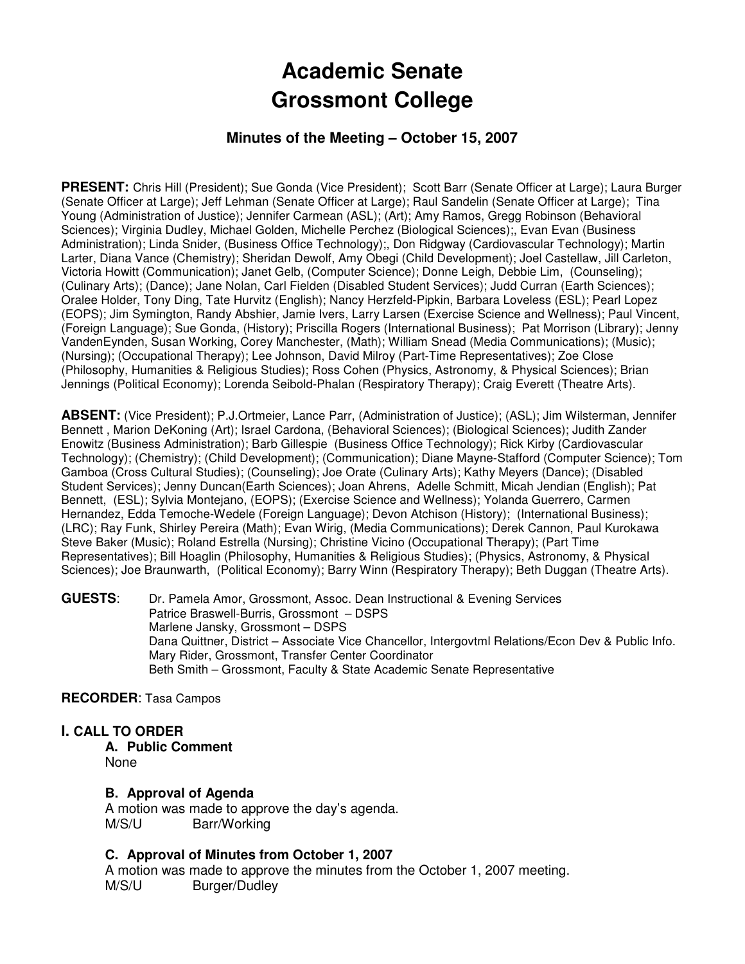# **Academic Senate Grossmont College**

# **Minutes of the Meeting – October 15, 2007**

**PRESENT:** Chris Hill (President); Sue Gonda (Vice President); Scott Barr (Senate Officer at Large); Laura Burger (Senate Officer at Large); Jeff Lehman (Senate Officer at Large); Raul Sandelin (Senate Officer at Large); Tina Young (Administration of Justice); Jennifer Carmean (ASL); (Art); Amy Ramos, Gregg Robinson (Behavioral Sciences); Virginia Dudley, Michael Golden, Michelle Perchez (Biological Sciences);, Evan Evan (Business Administration); Linda Snider, (Business Office Technology);, Don Ridgway (Cardiovascular Technology); Martin Larter, Diana Vance (Chemistry); Sheridan Dewolf, Amy Obegi (Child Development); Joel Castellaw, Jill Carleton, Victoria Howitt (Communication); Janet Gelb, (Computer Science); Donne Leigh, Debbie Lim, (Counseling); (Culinary Arts); (Dance); Jane Nolan, Carl Fielden (Disabled Student Services); Judd Curran (Earth Sciences); Oralee Holder, Tony Ding, Tate Hurvitz (English); Nancy Herzfeld-Pipkin, Barbara Loveless (ESL); Pearl Lopez (EOPS); Jim Symington, Randy Abshier, Jamie Ivers, Larry Larsen (Exercise Science and Wellness); Paul Vincent, (Foreign Language); Sue Gonda, (History); Priscilla Rogers (International Business); Pat Morrison (Library); Jenny VandenEynden, Susan Working, Corey Manchester, (Math); William Snead (Media Communications); (Music); (Nursing); (Occupational Therapy); Lee Johnson, David Milroy (Part-Time Representatives); Zoe Close (Philosophy, Humanities & Religious Studies); Ross Cohen (Physics, Astronomy, & Physical Sciences); Brian Jennings (Political Economy); Lorenda Seibold-Phalan (Respiratory Therapy); Craig Everett (Theatre Arts).

**ABSENT:** (Vice President); P.J.Ortmeier, Lance Parr, (Administration of Justice); (ASL); Jim Wilsterman, Jennifer Bennett , Marion DeKoning (Art); Israel Cardona, (Behavioral Sciences); (Biological Sciences); Judith Zander Enowitz (Business Administration); Barb Gillespie (Business Office Technology); Rick Kirby (Cardiovascular Technology); (Chemistry); (Child Development); (Communication); Diane Mayne-Stafford (Computer Science); Tom Gamboa (Cross Cultural Studies); (Counseling); Joe Orate (Culinary Arts); Kathy Meyers (Dance); (Disabled Student Services); Jenny Duncan(Earth Sciences); Joan Ahrens, Adelle Schmitt, Micah Jendian (English); Pat Bennett, (ESL); Sylvia Montejano, (EOPS); (Exercise Science and Wellness); Yolanda Guerrero, Carmen Hernandez, Edda Temoche-Wedele (Foreign Language); Devon Atchison (History); (International Business); (LRC); Ray Funk, Shirley Pereira (Math); Evan Wirig, (Media Communications); Derek Cannon, Paul Kurokawa Steve Baker (Music); Roland Estrella (Nursing); Christine Vicino (Occupational Therapy); (Part Time Representatives); Bill Hoaglin (Philosophy, Humanities & Religious Studies); (Physics, Astronomy, & Physical Sciences); Joe Braunwarth, (Political Economy); Barry Winn (Respiratory Therapy); Beth Duggan (Theatre Arts).

**GUESTS**: Dr. Pamela Amor, Grossmont, Assoc. Dean Instructional & Evening Services Patrice Braswell-Burris, Grossmont – DSPS Marlene Jansky, Grossmont – DSPS Dana Quittner, District – Associate Vice Chancellor, Intergovtml Relations/Econ Dev & Public Info. Mary Rider, Grossmont, Transfer Center Coordinator Beth Smith – Grossmont, Faculty & State Academic Senate Representative

#### **RECORDER**: Tasa Campos

### **I. CALL TO ORDER**

**A. Public Comment**  None

### **B. Approval of Agenda**

A motion was made to approve the day's agenda. M/S/U Barr/Working

#### **C. Approval of Minutes from October 1, 2007**

A motion was made to approve the minutes from the October 1, 2007 meeting. M/S/U Burger/Dudley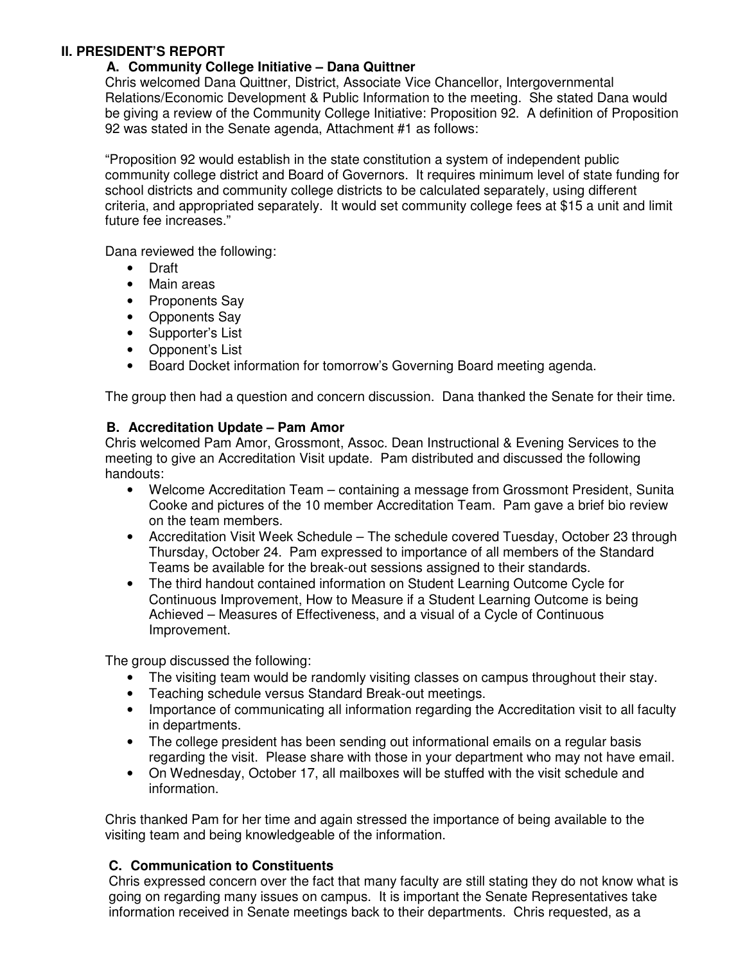### **II. PRESIDENT'S REPORT**

# **A. Community College Initiative – Dana Quittner**

Chris welcomed Dana Quittner, District, Associate Vice Chancellor, Intergovernmental Relations/Economic Development & Public Information to the meeting. She stated Dana would be giving a review of the Community College Initiative: Proposition 92. A definition of Proposition 92 was stated in the Senate agenda, Attachment #1 as follows:

"Proposition 92 would establish in the state constitution a system of independent public community college district and Board of Governors. It requires minimum level of state funding for school districts and community college districts to be calculated separately, using different criteria, and appropriated separately. It would set community college fees at \$15 a unit and limit future fee increases."

Dana reviewed the following:

- Draft
- Main areas
- Proponents Say
- Opponents Say
- Supporter's List
- Opponent's List
- Board Docket information for tomorrow's Governing Board meeting agenda.

The group then had a question and concern discussion. Dana thanked the Senate for their time.

### **B. Accreditation Update – Pam Amor**

Chris welcomed Pam Amor, Grossmont, Assoc. Dean Instructional & Evening Services to the meeting to give an Accreditation Visit update. Pam distributed and discussed the following handouts:

- Welcome Accreditation Team containing a message from Grossmont President, Sunita Cooke and pictures of the 10 member Accreditation Team. Pam gave a brief bio review on the team members.
- Accreditation Visit Week Schedule The schedule covered Tuesday, October 23 through Thursday, October 24. Pam expressed to importance of all members of the Standard Teams be available for the break-out sessions assigned to their standards.
- The third handout contained information on Student Learning Outcome Cycle for Continuous Improvement, How to Measure if a Student Learning Outcome is being Achieved – Measures of Effectiveness, and a visual of a Cycle of Continuous Improvement.

The group discussed the following:

- The visiting team would be randomly visiting classes on campus throughout their stay.
- Teaching schedule versus Standard Break-out meetings.
- Importance of communicating all information regarding the Accreditation visit to all faculty in departments.
- The college president has been sending out informational emails on a regular basis regarding the visit. Please share with those in your department who may not have email.
- On Wednesday, October 17, all mailboxes will be stuffed with the visit schedule and information.

Chris thanked Pam for her time and again stressed the importance of being available to the visiting team and being knowledgeable of the information.

### **C. Communication to Constituents**

Chris expressed concern over the fact that many faculty are still stating they do not know what is going on regarding many issues on campus. It is important the Senate Representatives take information received in Senate meetings back to their departments. Chris requested, as a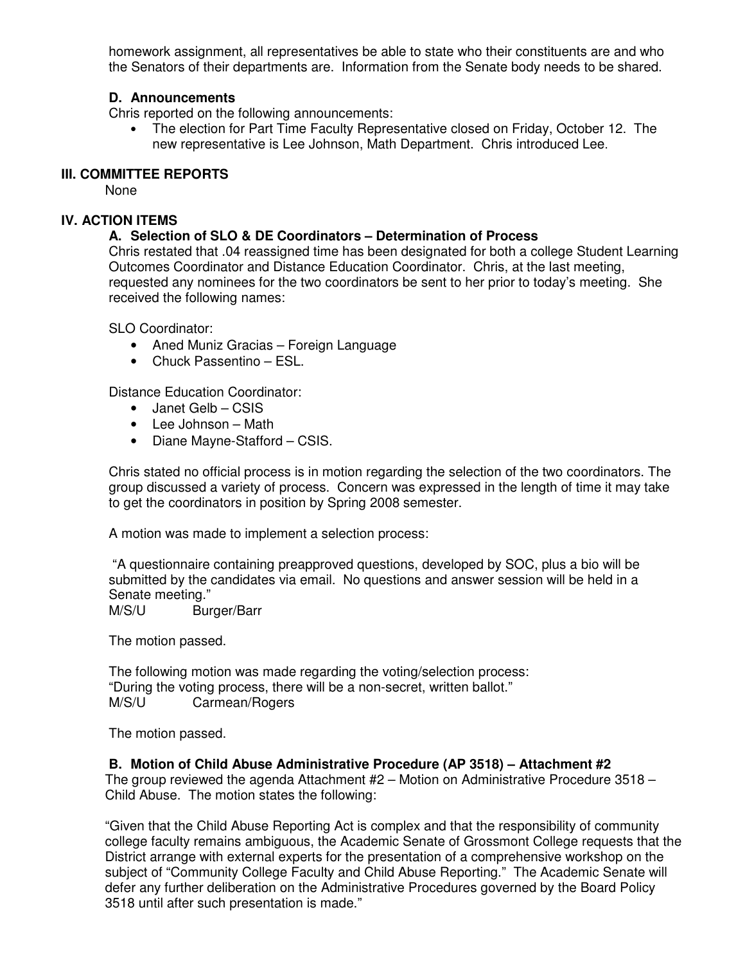homework assignment, all representatives be able to state who their constituents are and who the Senators of their departments are. Information from the Senate body needs to be shared.

## **D. Announcements**

Chris reported on the following announcements:

• The election for Part Time Faculty Representative closed on Friday, October 12. The new representative is Lee Johnson, Math Department. Chris introduced Lee.

#### **III. COMMITTEE REPORTS**

None

# **IV. ACTION ITEMS**

# **A. Selection of SLO & DE Coordinators – Determination of Process**

Chris restated that .04 reassigned time has been designated for both a college Student Learning Outcomes Coordinator and Distance Education Coordinator. Chris, at the last meeting, requested any nominees for the two coordinators be sent to her prior to today's meeting. She received the following names:

SLO Coordinator:

- Aned Muniz Gracias Foreign Language
- Chuck Passentino ESL.

Distance Education Coordinator:

- Janet Gelb CSIS
- Lee Johnson Math
- Diane Mayne-Stafford CSIS.

Chris stated no official process is in motion regarding the selection of the two coordinators. The group discussed a variety of process. Concern was expressed in the length of time it may take to get the coordinators in position by Spring 2008 semester.

A motion was made to implement a selection process:

 "A questionnaire containing preapproved questions, developed by SOC, plus a bio will be submitted by the candidates via email. No questions and answer session will be held in a Senate meeting."

M/S/U Burger/Barr

The motion passed.

The following motion was made regarding the voting/selection process: "During the voting process, there will be a non-secret, written ballot." M/S/U Carmean/Rogers

The motion passed.

### **B. Motion of Child Abuse Administrative Procedure (AP 3518) – Attachment #2**

The group reviewed the agenda Attachment  $#2$  – Motion on Administrative Procedure 3518 – Child Abuse. The motion states the following:

"Given that the Child Abuse Reporting Act is complex and that the responsibility of community college faculty remains ambiguous, the Academic Senate of Grossmont College requests that the District arrange with external experts for the presentation of a comprehensive workshop on the subject of "Community College Faculty and Child Abuse Reporting." The Academic Senate will defer any further deliberation on the Administrative Procedures governed by the Board Policy 3518 until after such presentation is made."